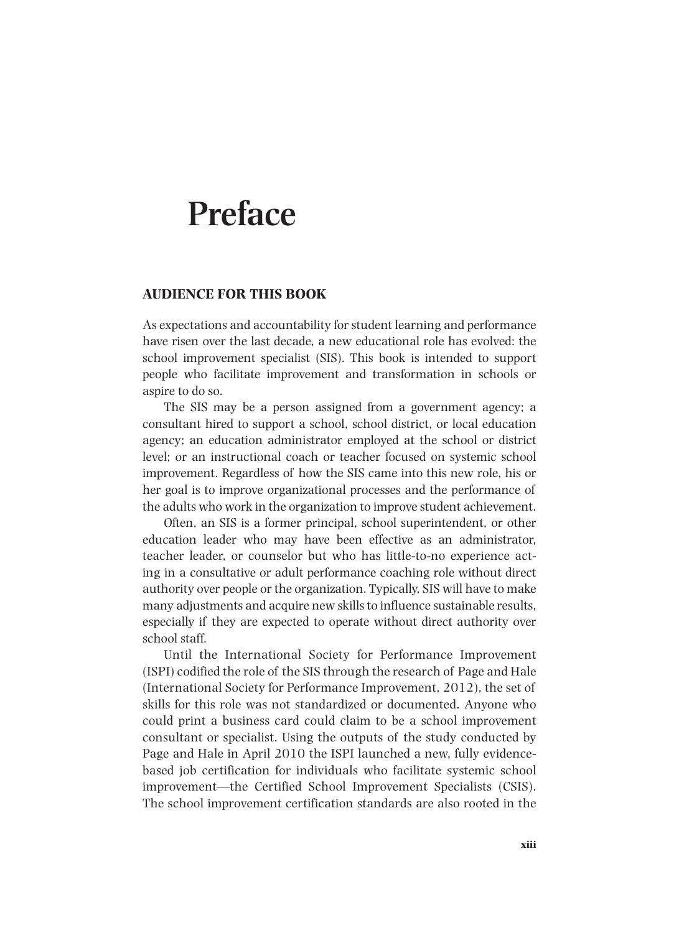## **Preface**

## **AUDIENCE FOR THIS BOOK**

As expectations and accountability for student learning and performance have risen over the last decade, a new educational role has evolved: the school improvement specialist (SIS). This book is intended to support people who facilitate improvement and transformation in schools or aspire to do so.

The SIS may be a person assigned from a government agency; a consultant hired to support a school, school district, or local education agency; an education administrator employed at the school or district level; or an instructional coach or teacher focused on systemic school improvement. Regardless of how the SIS came into this new role, his or her goal is to improve organizational processes and the performance of the adults who work in the organization to improve student achievement.

Often, an SIS is a former principal, school superintendent, or other education leader who may have been effective as an administrator, teacher leader, or counselor but who has little-to-no experience acting in a consultative or adult performance coaching role without direct authority over people or the organization. Typically, SIS will have to make many adjustments and acquire new skills to influence sustainable results, especially if they are expected to operate without direct authority over school staff.

Until the International Society for Performance Improvement (ISPI) codified the role of the SIS through the research of Page and Hale (International Society for Performance Improvement, 2012), the set of skills for this role was not standardized or documented. Anyone who could print a business card could claim to be a school improvement consultant or specialist. Using the outputs of the study conducted by Page and Hale in April 2010 the ISPI launched a new, fully evidencebased job certification for individuals who facilitate systemic school improvement—the Certified School Improvement Specialists (CSIS). The school improvement certification standards are also rooted in the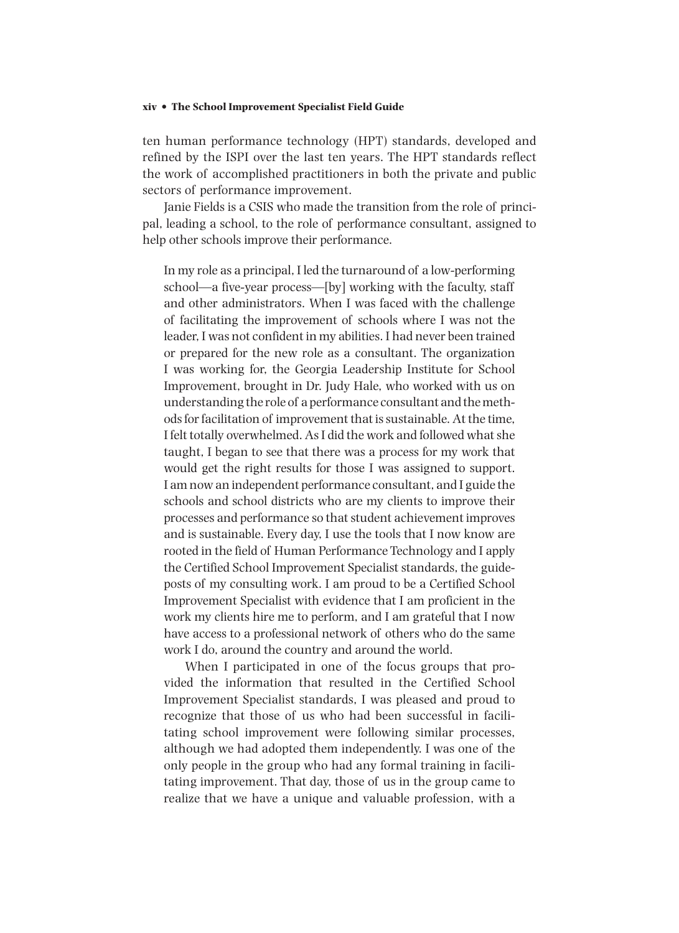## **xiv • The School Improvement Specialist Field Guide**

ten human performance technology (HPT) standards, developed and refined by the ISPI over the last ten years. The HPT standards reflect the work of accomplished practitioners in both the private and public sectors of performance improvement.

Janie Fields is a CSIS who made the transition from the role of principal, leading a school, to the role of performance consultant, assigned to help other schools improve their performance.

In my role as a principal, I led the turnaround of a low-performing school—a five-year process—[by] working with the faculty, staff and other administrators. When I was faced with the challenge of facilitating the improvement of schools where I was not the leader, I was not confident in my abilities. I had never been trained or prepared for the new role as a consultant. The organization I was working for, the Georgia Leadership Institute for School Improvement, brought in Dr. Judy Hale, who worked with us on understanding the role of a performance consultant and the methods for facilitation of improvement that is sustainable. At the time, I felt totally overwhelmed. As I did the work and followed what she taught, I began to see that there was a process for my work that would get the right results for those I was assigned to support. I am now an independent performance consultant, and I guide the schools and school districts who are my clients to improve their processes and performance so that student achievement improves and is sustainable. Every day, I use the tools that I now know are rooted in the field of Human Performance Technology and I apply the Certified School Improvement Specialist standards, the guideposts of my consulting work. I am proud to be a Certified School Improvement Specialist with evidence that I am proficient in the work my clients hire me to perform, and I am grateful that I now have access to a professional network of others who do the same work I do, around the country and around the world.

When I participated in one of the focus groups that provided the information that resulted in the Certified School Improvement Specialist standards, I was pleased and proud to recognize that those of us who had been successful in facilitating school improvement were following similar processes, although we had adopted them independently. I was one of the only people in the group who had any formal training in facilitating improvement. That day, those of us in the group came to realize that we have a unique and valuable profession, with a